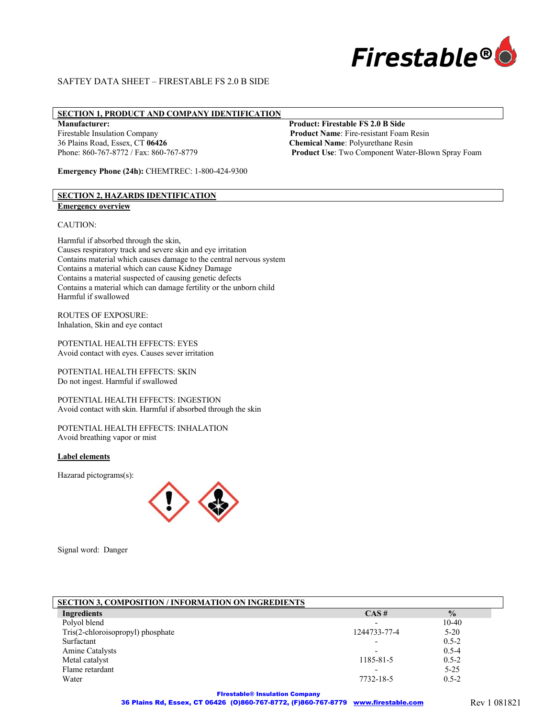

# **SECTION 1, PRODUCT AND COMPANY IDENTIFICATION**

36 Plains Road, Essex, CT **06426 Chemical Name**: Polyurethane Resin

**Emergency Phone (24h):** CHEMTREC: 1-800-424-9300

# **Manufacturer: Product: Firestable FS 2.0 B Side**

Firestable Insulation Company **Product Name**: Fire-resistant Foam Resin Phone: 860-767-8772 / Fax: 860-767-8779 **Product Use**: Two Component Water-Blown Spray Foam

# **SECTION 2, HAZARDS IDENTIFICATION Emergency overview**

#### CAUTION:

Harmful if absorbed through the skin, Causes respiratory track and severe skin and eye irritation Contains material which causes damage to the central nervous system Contains a material which can cause Kidney Damage Contains a material suspected of causing genetic defects Contains a material which can damage fertility or the unborn child Harmful if swallowed

ROUTES OF EXPOSURE: Inhalation, Skin and eye contact

POTENTIAL HEALTH EFFECTS: EYES Avoid contact with eyes. Causes sever irritation

POTENTIAL HEALTH EFFECTS: SKIN Do not ingest. Harmful if swallowed

POTENTIAL HEALTH EFFECTS: INGESTION Avoid contact with skin. Harmful if absorbed through the skin

POTENTIAL HEALTH EFFECTS: INHALATION Avoid breathing vapor or mist

#### **Label elements**

Hazarad pictograms(s):



Signal word: Danger

| <b>SECTION 3, COMPOSITION / INFORMATION ON INGREDIENTS</b> |                          |               |
|------------------------------------------------------------|--------------------------|---------------|
| Ingredients                                                | $CAS \#$                 | $\frac{0}{0}$ |
| Polyol blend                                               | $\overline{\phantom{0}}$ | $10 - 40$     |
| Tris(2-chloroisopropyl) phosphate                          | 1244733-77-4             | $5 - 20$      |
| Surfactant                                                 | $\overline{\phantom{0}}$ | $0.5 - 2$     |
| Amine Catalysts                                            | $\overline{\phantom{0}}$ | $0.5 - 4$     |
| Metal catalyst                                             | 1185-81-5                | $0.5 - 2$     |
| Flame retardant                                            | $\overline{\phantom{0}}$ | $5 - 25$      |
| Water                                                      | 7732-18-5                | $0.5 - 2$     |

FIrestable® Insulation Company 36 Plains Rd, Essex, CT 06426 (O)860-767-8772, (F)860-767-8779 www.firestable.com Rev 1 081821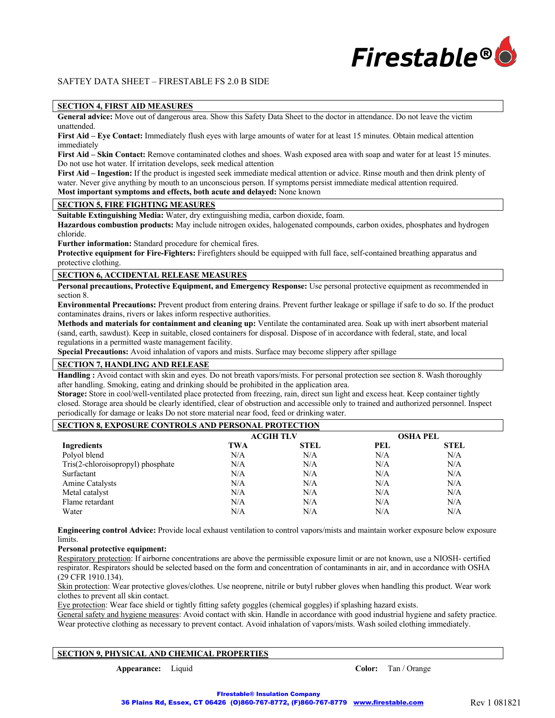

## **SECTION 4, FIRST AID MEASURES**

**General advice:** Move out of dangerous area. Show this Safety Data Sheet to the doctor in attendance. Do not leave the victim unattended.

**First Aid – Eye Contact:** Immediately flush eyes with large amounts of water for at least 15 minutes. Obtain medical attention immediately

**First Aid – Skin Contact:** Remove contaminated clothes and shoes. Wash exposed area with soap and water for at least 15 minutes. Do not use hot water. If irritation develops, seek medical attention

**First Aid – Ingestion:** If the product is ingested seek immediate medical attention or advice. Rinse mouth and then drink plenty of water. Never give anything by mouth to an unconscious person. If symptoms persist immediate medical attention required. **Most important symptoms and effects, both acute and delayed:** None known

# **SECTION 5, FIRE FIGHTING MEASURES**

**Suitable Extinguishing Media:** Water, dry extinguishing media, carbon dioxide, foam.

**Hazardous combustion products:** May include nitrogen oxides, halogenated compounds, carbon oxides, phosphates and hydrogen chloride.

**Further information:** Standard procedure for chemical fires.

**Protective equipment for Fire-Fighters:** Firefighters should be equipped with full face, self-contained breathing apparatus and protective clothing.

## **SECTION 6, ACCIDENTAL RELEASE MEASURES**

**Personal precautions, Protective Equipment, and Emergency Response:** Use personal protective equipment as recommended in section 8.

**Environmental Precautions:** Prevent product from entering drains. Prevent further leakage or spillage if safe to do so. If the product contaminates drains, rivers or lakes inform respective authorities.

**Methods and materials for containment and cleaning up:** Ventilate the contaminated area. Soak up with inert absorbent material (sand, earth, sawdust). Keep in suitable, closed containers for disposal. Dispose of in accordance with federal, state, and local regulations in a permitted waste management facility.

**Special Precautions:** Avoid inhalation of vapors and mists. Surface may become slippery after spillage

# **SECTION 7, HANDLING AND RELEASE**

**Handling :** Avoid contact with skin and eyes. Do not breath vapors/mists. For personal protection see section 8. Wash thoroughly after handling. Smoking, eating and drinking should be prohibited in the application area.

**Storage:** Store in cool/well-ventilated place protected from freezing, rain, direct sun light and excess heat. Keep container tightly closed. Storage area should be clearly identified, clear of obstruction and accessible only to trained and authorized personnel. Inspect periodically for damage or leaks Do not store material near food, feed or drinking water.

#### **SECTION 8, EXPOSURE CONTROLS AND PERSONAL PROTECTION**

|                                   | <b>ACGIH TLV</b> |             | <b>OSHA PEL</b> |             |
|-----------------------------------|------------------|-------------|-----------------|-------------|
| Ingredients                       | <b>TWA</b>       | <b>STEL</b> | <b>PEL</b>      | <b>STEL</b> |
| Polyol blend                      | N/A              | N/A         | N/A             | N/A         |
| Tris(2-chloroisopropyl) phosphate | N/A              | N/A         | N/A             | N/A         |
| Surfactant                        | N/A              | N/A         | N/A             | N/A         |
| Amine Catalysts                   | N/A              | N/A         | N/A             | N/A         |
| Metal catalyst                    | N/A              | N/A         | N/A             | N/A         |
| Flame retardant                   | N/A              | N/A         | N/A             | N/A         |
| Water                             | N/A              | N/A         | N/A             | N/A         |

**Engineering control Advice:** Provide local exhaust ventilation to control vapors/mists and maintain worker exposure below exposure limits.

#### **Personal protective equipment:**

Respiratory protection: If airborne concentrations are above the permissible exposure limit or are not known, use a NIOSH- certified respirator. Respirators should be selected based on the form and concentration of contaminants in air, and in accordance with OSHA (29 CFR 1910.134).

Skin protection: Wear protective gloves/clothes. Use neoprene, nitrile or butyl rubber gloves when handling this product. Wear work clothes to prevent all skin contact.

Eye protection: Wear face shield or tightly fitting safety goggles (chemical goggles) if splashing hazard exists.

General safety and hygiene measures: Avoid contact with skin. Handle in accordance with good industrial hygiene and safety practice. Wear protective clothing as necessary to prevent contact. Avoid inhalation of vapors/mists. Wash soiled clothing immediately.

### **SECTION 9, PHYSICAL AND CHEMICAL PROPERTIES**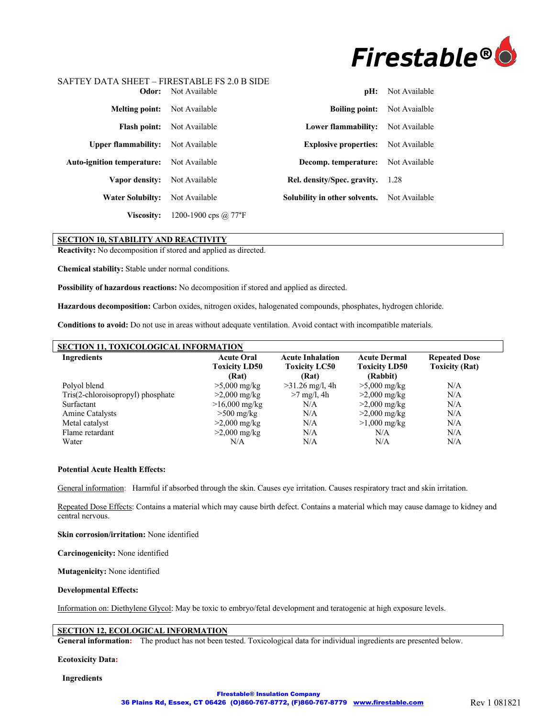

| Odor:                                           | Not Available        | pH:                           | Not Available |
|-------------------------------------------------|----------------------|-------------------------------|---------------|
| <b>Melting point:</b>                           | Not Available        | <b>Boiling point:</b>         | Not Avaialble |
| <b>Flash point:</b>                             | Not Available        | Lower flammability:           | Not Available |
| <b>Upper flammability:</b>                      | Not Available        | <b>Explosive properties:</b>  | Not Available |
| <b>Auto-ignition temperature:</b> Not Available |                      | Decomp. temperature:          | Not Available |
| Vapor density:                                  | Not Available        | Rel. density/Spec. gravity.   | 1.28          |
| <b>Water Solubilty:</b>                         | Not Available        | Solubility in other solvents. | Not Available |
| <b>Viscosity:</b>                               | 1200-1900 cps @ 77°F |                               |               |

# **SECTION 10, STABILITY AND REACTIVITY**

**Reactivity:** No decomposition if stored and applied as directed.

**Chemical stability:** Stable under normal conditions.

**Possibility of hazardous reactions:** No decomposition if stored and applied as directed.

**Hazardous decomposition:** Carbon oxides, nitrogen oxides, halogenated compounds, phosphates, hydrogen chloride.

**Conditions to avoid:** Do not use in areas without adequate ventilation. Avoid contact with incompatible materials.

| SECTION 11, TOXICOLOGICAL INFORMATION |                                                    |                                                          |                                                         |                                               |
|---------------------------------------|----------------------------------------------------|----------------------------------------------------------|---------------------------------------------------------|-----------------------------------------------|
| <b>Ingredients</b>                    | <b>Acute Oral</b><br><b>Toxicity LD50</b><br>(Rat) | <b>Acute Inhalation</b><br><b>Toxicity LC50</b><br>(Rat) | <b>Acute Dermal</b><br><b>Toxicity LD50</b><br>(Rabbit) | <b>Repeated Dose</b><br><b>Toxicity (Rat)</b> |
| Polyol blend                          | $>5,000$ mg/kg                                     | $>31.26$ mg/l, 4h                                        | $>5,000$ mg/kg                                          | N/A                                           |
| Tris(2-chloroisopropyl) phosphate     | $>2,000 \text{ mg/kg}$                             | $>7$ mg/l, 4h                                            | $>2,000$ mg/kg                                          | N/A                                           |
| Surfactant                            | $>16,000$ mg/kg                                    | N/A                                                      | $>2,000 \text{ mg/kg}$                                  | N/A                                           |
| Amine Catalysts                       | $>500$ mg/kg                                       | N/A                                                      | $>2,000$ mg/kg                                          | N/A                                           |
| Metal catalyst                        | $>2,000$ mg/kg                                     | N/A                                                      | $>1,000$ mg/kg                                          | N/A                                           |
| Flame retardant                       | $>2,000 \text{ mg/kg}$                             | N/A                                                      | N/A                                                     | N/A                                           |
| Water                                 | N/A                                                | N/A                                                      | N/A                                                     | N/A                                           |

#### **Potential Acute Health Effects:**

General information: Harmful if absorbed through the skin. Causes eye irritation. Causes respiratory tract and skin irritation.

Repeated Dose Effects: Contains a material which may cause birth defect. Contains a material which may cause damage to kidney and central nervous.

**Skin corrosion/irritation:** None identified

**Carcinogenicity:** None identified

**Mutagenicity:** None identified

#### **Developmental Effects:**

Information on: Diethylene Glycol: May be toxic to embryo/fetal development and teratogenic at high exposure levels.

#### **SECTION 12, ECOLOGICAL INFORMATION**

**General information:** The product has not been tested. Toxicological data for individual ingredients are presented below.

**Ecotoxicity Data:**

**Ingredients**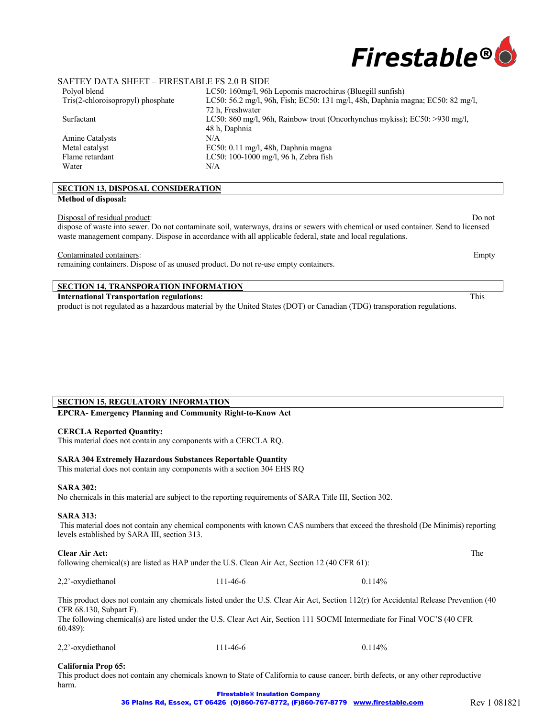

| Polyol blend                      | LC50: 160mg/l, 96h Lepomis macrochirus (Bluegill sunfish)                      |
|-----------------------------------|--------------------------------------------------------------------------------|
| Tris(2-chloroisopropyl) phosphate | LC50: 56.2 mg/l, 96h, Fish; EC50: 131 mg/l, 48h, Daphnia magna; EC50: 82 mg/l, |
|                                   | 72 h. Freshwater                                                               |
| Surfactant                        | LC50: 860 mg/l, 96h, Rainbow trout (Oncorhynchus mykiss); EC50: $>930$ mg/l,   |
|                                   | 48 h, Daphnia                                                                  |
| Amine Catalysts                   | N/A                                                                            |
| Metal catalyst                    | $EC50: 0.11$ mg/l, 48h, Daphnia magna                                          |
| Flame retardant                   | LC50: 100-1000 mg/l, 96 h, Zebra fish                                          |
| Water                             | N/A                                                                            |
|                                   |                                                                                |

# **SECTION 13, DISPOSAL CONSIDERATION**

### **Method of disposal:**

Disposal of residual product: Do not

dispose of waste into sewer. Do not contaminate soil, waterways, drains or sewers with chemical or used container. Send to licensed waste management company. Dispose in accordance with all applicable federal, state and local regulations.

Contaminated containers: Empty

remaining containers. Dispose of as unused product. Do not re-use empty containers.

# **SECTION 14, TRANSPORATION INFORMATION**

**International Transportation regulations:** This

product is not regulated as a hazardous material by the United States (DOT) or Canadian (TDG) transporation regulations.

## **SECTION 15, REGULATORY INFORMATION**

**EPCRA- Emergency Planning and Community Right-to-Know Act** 

#### **CERCLA Reported Quantity:**

This material does not contain any components with a CERCLA RQ.

#### **SARA 304 Extremely Hazardous Substances Reportable Quantity**

This material does not contain any components with a section 304 EHS RQ

#### **SARA 302:**

No chemicals in this material are subject to the reporting requirements of SARA Title III, Section 302.

#### **SARA 313:**

This material does not contain any chemical components with known CAS numbers that exceed the threshold (De Minimis) reporting levels established by SARA III, section 313.

#### **Clear Air Act:** The

following chemical(s) are listed as HAP under the U.S. Clean Air Act, Section 12 (40 CFR 61):

2,2'-oxydiethanol 111-46-6 0.114%

This product does not contain any chemicals listed under the U.S. Clear Air Act, Section 112(r) for Accidental Release Prevention (40 CFR 68.130, Subpart F).

The following chemical(s) are listed under the U.S. Clear Act Air, Section 111 SOCMI Intermediate for Final VOC'S (40 CFR 60.489):

2,2'-oxydiethanol 111-46-6 0.114%

#### **California Prop 65:**

This product does not contain any chemicals known to State of California to cause cancer, birth defects, or any other reproductive harm.

> FIrestable® Insulation Company 36 Plains Rd, Essex, CT 06426 (O)860-767-8772, (F)860-767-8779 www.firestable.com Rev 1 081821